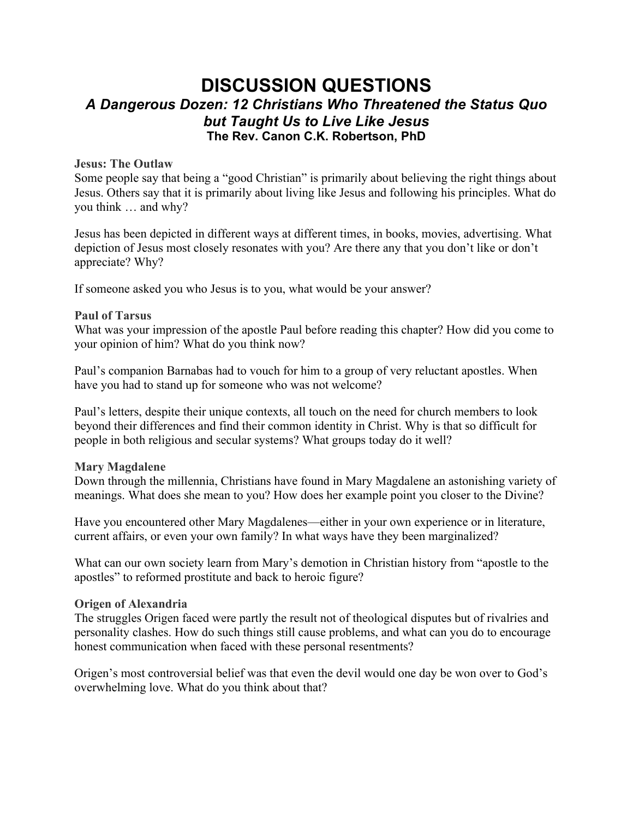# **DISCUSSION QUESTIONS** *A Dangerous Dozen: 12 Christians Who Threatened the Status Quo but Taught Us to Live Like Jesus* **The Rev. Canon C.K. Robertson, PhD**

# **Jesus: The Outlaw**

Some people say that being a "good Christian" is primarily about believing the right things about Jesus. Others say that it is primarily about living like Jesus and following his principles. What do you think … and why?

Jesus has been depicted in different ways at different times, in books, movies, advertising. What depiction of Jesus most closely resonates with you? Are there any that you don't like or don't appreciate? Why?

If someone asked you who Jesus is to you, what would be your answer?

#### **Paul of Tarsus**

What was your impression of the apostle Paul before reading this chapter? How did you come to your opinion of him? What do you think now?

Paul's companion Barnabas had to vouch for him to a group of very reluctant apostles. When have you had to stand up for someone who was not welcome?

Paul's letters, despite their unique contexts, all touch on the need for church members to look beyond their differences and find their common identity in Christ. Why is that so difficult for people in both religious and secular systems? What groups today do it well?

#### **Mary Magdalene**

Down through the millennia, Christians have found in Mary Magdalene an astonishing variety of meanings. What does she mean to you? How does her example point you closer to the Divine?

Have you encountered other Mary Magdalenes—either in your own experience or in literature, current affairs, or even your own family? In what ways have they been marginalized?

What can our own society learn from Mary's demotion in Christian history from "apostle to the apostles" to reformed prostitute and back to heroic figure?

#### **Origen of Alexandria**

The struggles Origen faced were partly the result not of theological disputes but of rivalries and personality clashes. How do such things still cause problems, and what can you do to encourage honest communication when faced with these personal resentments?

Origen's most controversial belief was that even the devil would one day be won over to God's overwhelming love. What do you think about that?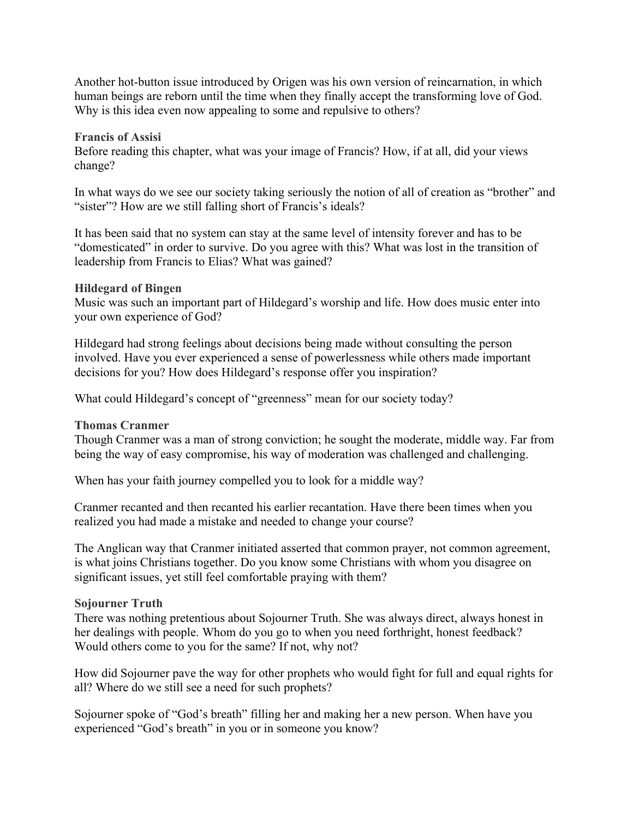Another hot-button issue introduced by Origen was his own version of reincarnation, in which human beings are reborn until the time when they finally accept the transforming love of God. Why is this idea even now appealing to some and repulsive to others?

#### **Francis of Assisi**

Before reading this chapter, what was your image of Francis? How, if at all, did your views change?

In what ways do we see our society taking seriously the notion of all of creation as "brother" and "sister"? How are we still falling short of Francis's ideals?

It has been said that no system can stay at the same level of intensity forever and has to be "domesticated" in order to survive. Do you agree with this? What was lost in the transition of leadership from Francis to Elias? What was gained?

#### **Hildegard of Bingen**

Music was such an important part of Hildegard's worship and life. How does music enter into your own experience of God?

Hildegard had strong feelings about decisions being made without consulting the person involved. Have you ever experienced a sense of powerlessness while others made important decisions for you? How does Hildegard's response offer you inspiration?

What could Hildegard's concept of "greenness" mean for our society today?

# **Thomas Cranmer**

Though Cranmer was a man of strong conviction; he sought the moderate, middle way. Far from being the way of easy compromise, his way of moderation was challenged and challenging.

When has your faith journey compelled you to look for a middle way?

Cranmer recanted and then recanted his earlier recantation. Have there been times when you realized you had made a mistake and needed to change your course?

The Anglican way that Cranmer initiated asserted that common prayer, not common agreement, is what joins Christians together. Do you know some Christians with whom you disagree on significant issues, yet still feel comfortable praying with them?

# **Sojourner Truth**

There was nothing pretentious about Sojourner Truth. She was always direct, always honest in her dealings with people. Whom do you go to when you need forthright, honest feedback? Would others come to you for the same? If not, why not?

How did Sojourner pave the way for other prophets who would fight for full and equal rights for all? Where do we still see a need for such prophets?

Sojourner spoke of "God's breath" filling her and making her a new person. When have you experienced "God's breath" in you or in someone you know?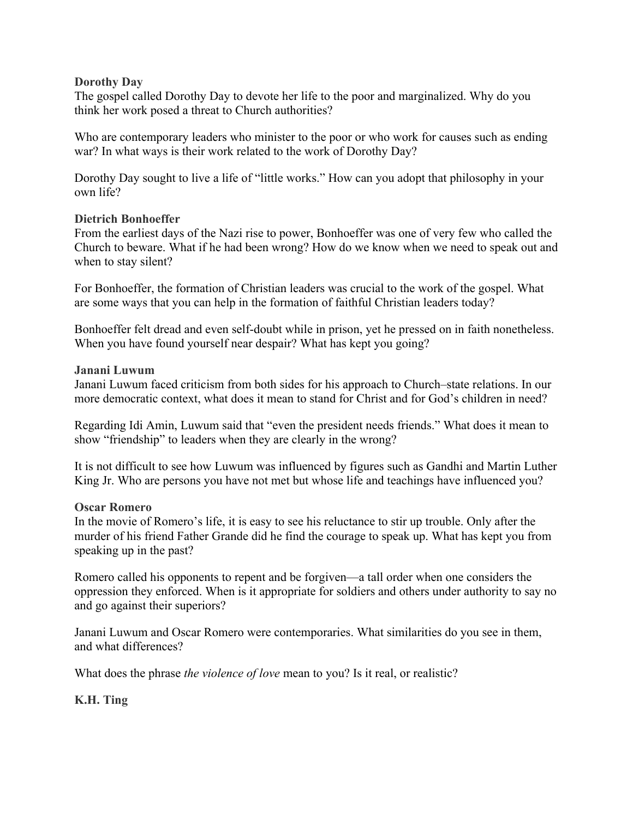#### **Dorothy Day**

The gospel called Dorothy Day to devote her life to the poor and marginalized. Why do you think her work posed a threat to Church authorities?

Who are contemporary leaders who minister to the poor or who work for causes such as ending war? In what ways is their work related to the work of Dorothy Day?

Dorothy Day sought to live a life of "little works." How can you adopt that philosophy in your own life?

# **Dietrich Bonhoeffer**

From the earliest days of the Nazi rise to power, Bonhoeffer was one of very few who called the Church to beware. What if he had been wrong? How do we know when we need to speak out and when to stay silent?

For Bonhoeffer, the formation of Christian leaders was crucial to the work of the gospel. What are some ways that you can help in the formation of faithful Christian leaders today?

Bonhoeffer felt dread and even self-doubt while in prison, yet he pressed on in faith nonetheless. When you have found yourself near despair? What has kept you going?

# **Janani Luwum**

Janani Luwum faced criticism from both sides for his approach to Church–state relations. In our more democratic context, what does it mean to stand for Christ and for God's children in need?

Regarding Idi Amin, Luwum said that "even the president needs friends." What does it mean to show "friendship" to leaders when they are clearly in the wrong?

It is not difficult to see how Luwum was influenced by figures such as Gandhi and Martin Luther King Jr. Who are persons you have not met but whose life and teachings have influenced you?

# **Oscar Romero**

In the movie of Romero's life, it is easy to see his reluctance to stir up trouble. Only after the murder of his friend Father Grande did he find the courage to speak up. What has kept you from speaking up in the past?

Romero called his opponents to repent and be forgiven—a tall order when one considers the oppression they enforced. When is it appropriate for soldiers and others under authority to say no and go against their superiors?

Janani Luwum and Oscar Romero were contemporaries. What similarities do you see in them, and what differences?

What does the phrase *the violence of love* mean to you? Is it real, or realistic?

**K.H. Ting**